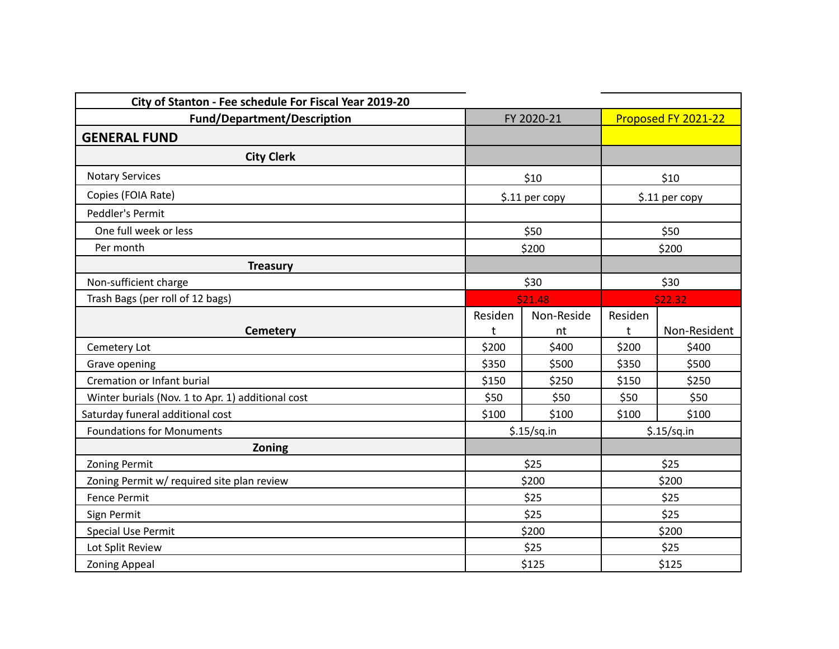| City of Stanton - Fee schedule For Fiscal Year 2019-20 |                |             |                     |              |  |
|--------------------------------------------------------|----------------|-------------|---------------------|--------------|--|
| <b>Fund/Department/Description</b>                     | FY 2020-21     |             | Proposed FY 2021-22 |              |  |
| <b>GENERAL FUND</b>                                    |                |             |                     |              |  |
| <b>City Clerk</b>                                      |                |             |                     |              |  |
| <b>Notary Services</b>                                 | \$10           |             | \$10                |              |  |
| Copies (FOIA Rate)                                     | \$.11 per copy |             | \$.11 per copy      |              |  |
| Peddler's Permit                                       |                |             |                     |              |  |
| One full week or less                                  |                | \$50        |                     | \$50         |  |
| Per month                                              |                | \$200       |                     | \$200        |  |
| <b>Treasury</b>                                        |                |             |                     |              |  |
| Non-sufficient charge                                  | \$30           |             | \$30                |              |  |
| Trash Bags (per roll of 12 bags)                       | \$21.48        |             |                     | \$22.32      |  |
|                                                        | Residen        | Non-Reside  | Residen             |              |  |
| <b>Cemetery</b>                                        | t              | nt          | t                   | Non-Resident |  |
| Cemetery Lot                                           | \$200          | \$400       | \$200               | \$400        |  |
| Grave opening                                          | \$350          | \$500       | \$350               | \$500        |  |
| Cremation or Infant burial                             | \$150          | \$250       | \$150               | \$250        |  |
| Winter burials (Nov. 1 to Apr. 1) additional cost      | \$50           | \$50        | \$50                | \$50         |  |
| Saturday funeral additional cost                       | \$100          | \$100       | \$100               | \$100        |  |
| <b>Foundations for Monuments</b>                       |                | \$.15/sq.in |                     | \$.15/sq.in  |  |
| Zoning                                                 |                |             |                     |              |  |
| <b>Zoning Permit</b>                                   |                | \$25        |                     | \$25         |  |
| Zoning Permit w/ required site plan review             |                | \$200       |                     | \$200        |  |
| <b>Fence Permit</b>                                    |                | \$25        |                     | \$25         |  |
| Sign Permit                                            | \$25           |             | \$25                |              |  |
| <b>Special Use Permit</b>                              | \$200          |             | \$200               |              |  |
| Lot Split Review                                       | \$25           |             | \$25                |              |  |
| <b>Zoning Appeal</b>                                   | \$125          |             | \$125               |              |  |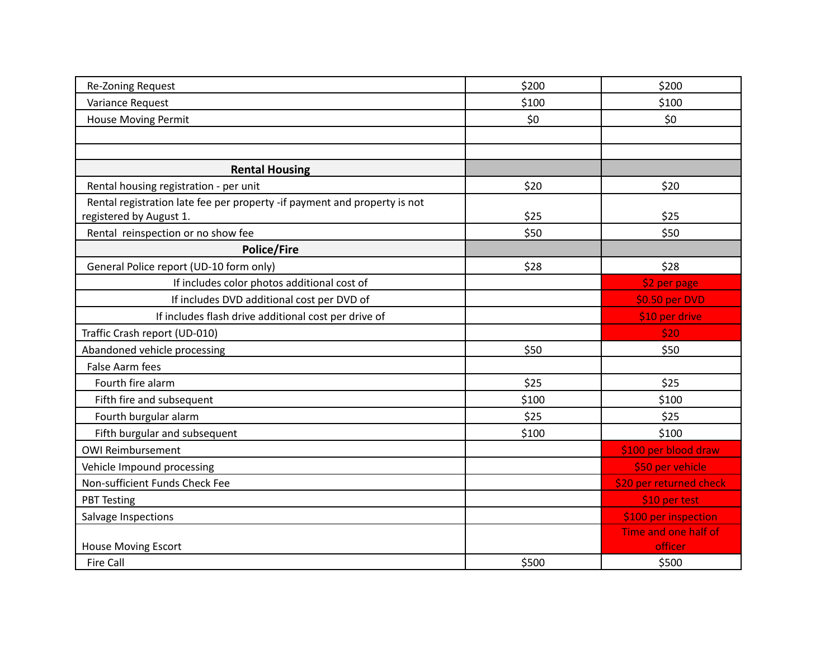| Re-Zoning Request                                                         | \$200 | \$200                   |
|---------------------------------------------------------------------------|-------|-------------------------|
| Variance Request                                                          | \$100 | \$100                   |
| House Moving Permit                                                       | \$0   | \$0                     |
|                                                                           |       |                         |
|                                                                           |       |                         |
| <b>Rental Housing</b>                                                     |       |                         |
| Rental housing registration - per unit                                    | \$20  | \$20                    |
| Rental registration late fee per property -if payment and property is not |       |                         |
| registered by August 1.                                                   | \$25  | \$25                    |
| Rental reinspection or no show fee                                        | \$50  | \$50                    |
| <b>Police/Fire</b>                                                        |       |                         |
| General Police report (UD-10 form only)                                   | \$28  | \$28                    |
| If includes color photos additional cost of                               |       | \$2 per page            |
| If includes DVD additional cost per DVD of                                |       | \$0.50 per DVD          |
| If includes flash drive additional cost per drive of                      |       | \$10 per drive          |
| Traffic Crash report (UD-010)                                             |       | \$20                    |
| Abandoned vehicle processing                                              | \$50  | \$50                    |
| <b>False Aarm fees</b>                                                    |       |                         |
| Fourth fire alarm                                                         | \$25  | \$25                    |
| Fifth fire and subsequent                                                 | \$100 | \$100                   |
| Fourth burgular alarm                                                     | \$25  | \$25                    |
| Fifth burgular and subsequent                                             | \$100 | \$100                   |
| <b>OWI Reimbursement</b>                                                  |       | \$100 per blood draw    |
| Vehicle Impound processing                                                |       | \$50 per vehicle        |
| Non-sufficient Funds Check Fee                                            |       | \$20 per returned check |
| <b>PBT Testing</b>                                                        |       | \$10 per test           |
| Salvage Inspections                                                       |       | \$100 per inspection    |
|                                                                           |       | Time and one half of    |
| <b>House Moving Escort</b>                                                |       | officer                 |
| <b>Fire Call</b>                                                          | \$500 | \$500                   |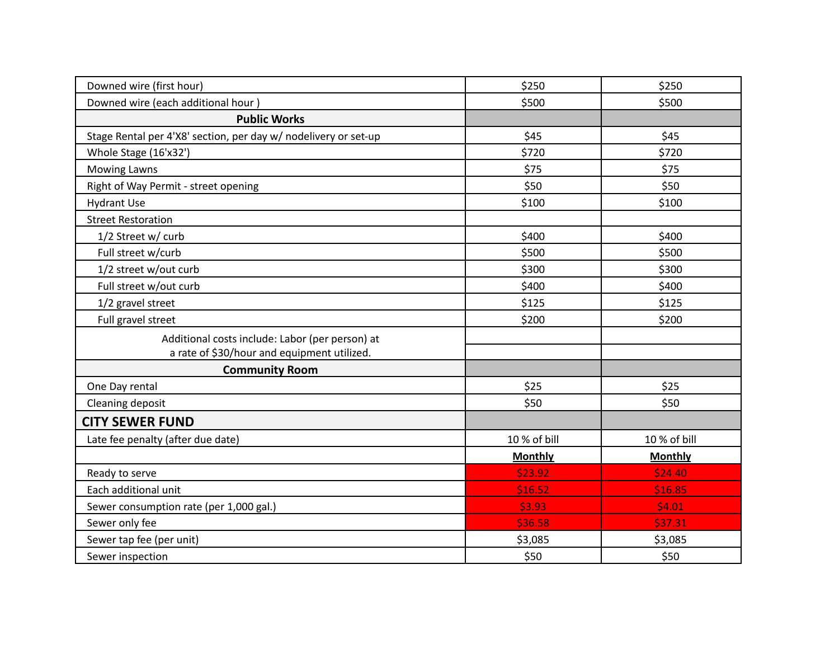| Downed wire (first hour)                                        | \$250          | \$250          |
|-----------------------------------------------------------------|----------------|----------------|
| Downed wire (each additional hour)                              | \$500          | \$500          |
| <b>Public Works</b>                                             |                |                |
| Stage Rental per 4'X8' section, per day w/ nodelivery or set-up | \$45           | \$45           |
| Whole Stage (16'x32')                                           | \$720          | \$720          |
| <b>Mowing Lawns</b>                                             | \$75           | \$75           |
| Right of Way Permit - street opening                            | \$50           | \$50           |
| <b>Hydrant Use</b>                                              | \$100          | \$100          |
| <b>Street Restoration</b>                                       |                |                |
| 1/2 Street w/ curb                                              | \$400          | \$400          |
| Full street w/curb                                              | \$500          | \$500          |
| 1/2 street w/out curb                                           | \$300          | \$300          |
| Full street w/out curb                                          | \$400          | \$400          |
| 1/2 gravel street                                               | \$125          | \$125          |
| Full gravel street                                              | \$200          | \$200          |
| Additional costs include: Labor (per person) at                 |                |                |
| a rate of \$30/hour and equipment utilized.                     |                |                |
| <b>Community Room</b>                                           |                |                |
| One Day rental                                                  | \$25           | \$25           |
| Cleaning deposit                                                | \$50           | \$50           |
| <b>CITY SEWER FUND</b>                                          |                |                |
| Late fee penalty (after due date)                               | 10 % of bill   | 10 % of bill   |
|                                                                 | <b>Monthly</b> | <b>Monthly</b> |
| Ready to serve                                                  | \$23.92        | \$24.40        |
| Each additional unit                                            | \$16.52        | \$16.85        |
| Sewer consumption rate (per 1,000 gal.)                         | \$3.93         | \$4.01         |
| Sewer only fee                                                  | \$36.58        | \$37.31        |
| Sewer tap fee (per unit)                                        | \$3,085        | \$3,085        |
| Sewer inspection                                                | \$50           | \$50           |